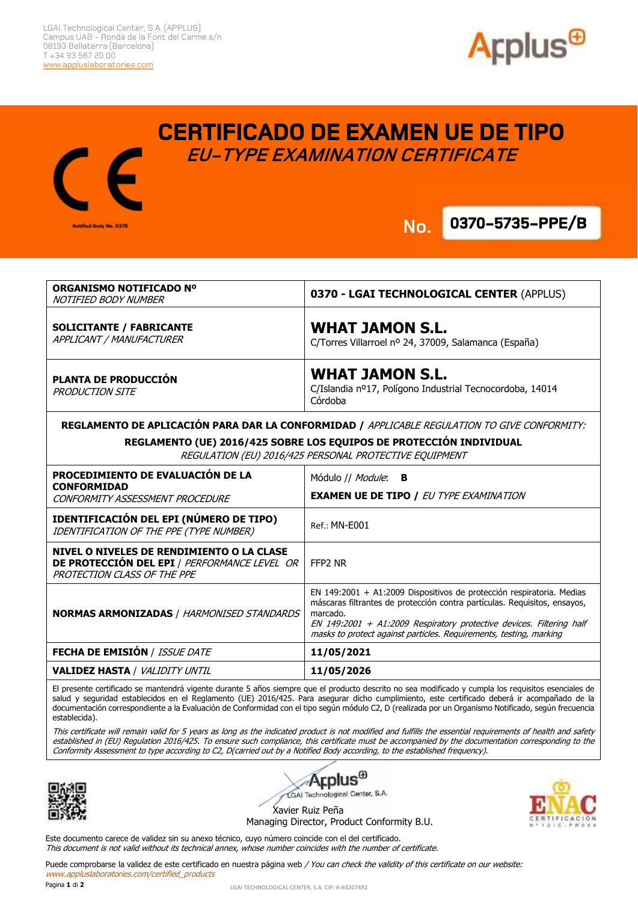Notified Body No. 0370





**No. 0370-5735-PPE/B No.**

**.**

| ORGANISMO NOTIFICADO Nº<br>NOTIFIED BODY NUMBER                                                                                                                                                                               | 0370 - LGAI TECHNOLOGICAL CENTER (APPLUS)                                                                                                                                                                                                                                                                    |
|-------------------------------------------------------------------------------------------------------------------------------------------------------------------------------------------------------------------------------|--------------------------------------------------------------------------------------------------------------------------------------------------------------------------------------------------------------------------------------------------------------------------------------------------------------|
| <b>SOLICITANTE / FABRICANTE</b><br>APPLICANT / MANUFACTURER                                                                                                                                                                   | <b>WHAT JAMON S.L.</b><br>C/Torres Villarroel nº 24, 37009, Salamanca (España)                                                                                                                                                                                                                               |
| PLANTA DE PRODUCCIÓN<br><b>PRODUCTION SITE</b>                                                                                                                                                                                | <b>WHAT JAMON S.L.</b><br>C/Islandia nº17, Polígono Industrial Tecnocordoba, 14014<br>Córdoba                                                                                                                                                                                                                |
| REGLAMENTO DE APLICACIÓN PARA DAR LA CONFORMIDAD / APPLICABLE REGULATION TO GIVE CONFORMITY:<br>REGLAMENTO (UE) 2016/425 SOBRE LOS EQUIPOS DE PROTECCIÓN INDIVIDUAL<br>REGULATION (EU) 2016/425 PERSONAL PROTECTIVE EQUIPMENT |                                                                                                                                                                                                                                                                                                              |
| PROCEDIMIENTO DE EVALUACIÓN DE LA<br><b>CONFORMIDAD</b><br>CONFORMITY ASSESSMENT PROCEDURE                                                                                                                                    | Módulo // <i>Module</i> : <b>B</b><br><b>EXAMEN UE DE TIPO / EU TYPE EXAMINATION</b>                                                                                                                                                                                                                         |
| IDENTIFICACIÓN DEL EPI (NÚMERO DE TIPO)<br>IDENTIFICATION OF THE PPE (TYPE NUMBER)                                                                                                                                            | Ref.: MN-E001                                                                                                                                                                                                                                                                                                |
| NIVEL O NIVELES DE RENDIMIENTO O LA CLASE<br>DE PROTECCIÓN DEL EPI / PERFORMANCE LEVEL OR<br>PROTECTION CLASS OF THE PPE                                                                                                      | FFP2 NR                                                                                                                                                                                                                                                                                                      |
| <b>NORMAS ARMONIZADAS / HARMONISED STANDARDS</b>                                                                                                                                                                              | EN 149:2001 + A1:2009 Dispositivos de protección respiratoria. Medias<br>máscaras filtrantes de protección contra partículas. Requisitos, ensayos,<br>marcado.<br>EN 149:2001 + A1:2009 Respiratory protective devices. Filtering half<br>masks to protect against particles. Requirements, testing, marking |
| FECHA DE EMISIÓN / ISSUE DATE                                                                                                                                                                                                 | 11/05/2021                                                                                                                                                                                                                                                                                                   |
| <b>VALIDEZ HASTA / VALIDITY UNTIL</b>                                                                                                                                                                                         | 11/05/2026                                                                                                                                                                                                                                                                                                   |

El presente certificado se mantendrá vigente durante 5 años siempre que el producto descrito no sea modificado y cumpla los requisitos esenciales de salud y seguridad establecidos en el Reglamento (UE) 2016/425. Para asegurar dicho cumplimiento, este certificado deberá ir acompañado de la documentación correspondiente a la Evaluación de Conformidad con el tipo según módulo C2, D (realizada por un Organismo Notificado, según frecuencia establecida).

This certificate will remain valid for 5 years as long as the indicated product is not modified and fulfills the essential requirements of health and safety established in (EU) Regulation 2016/425. To ensure such compliance, this certificate must be accompanied by the documentation corresponding to the Conformity Assessment to type according to C2, D(carried out by a Notified Body according, to the established frequency).



Applus<sup>®</sup> GAI Technological Center, S.A.

Xavier Ruiz Peña Managing Director, Product Conformity B.U.

Este documento carece de validez sin su anexo técnico, cuyo número coincide con el del certificado. This document is not valid without its technical annex, whose number coincides with the number of certificate.

Puede comprobarse la validez de este certificado en nuestra página web / You can check the validity of this certificate on our website: www.appluslaboratories.com/certified\_products